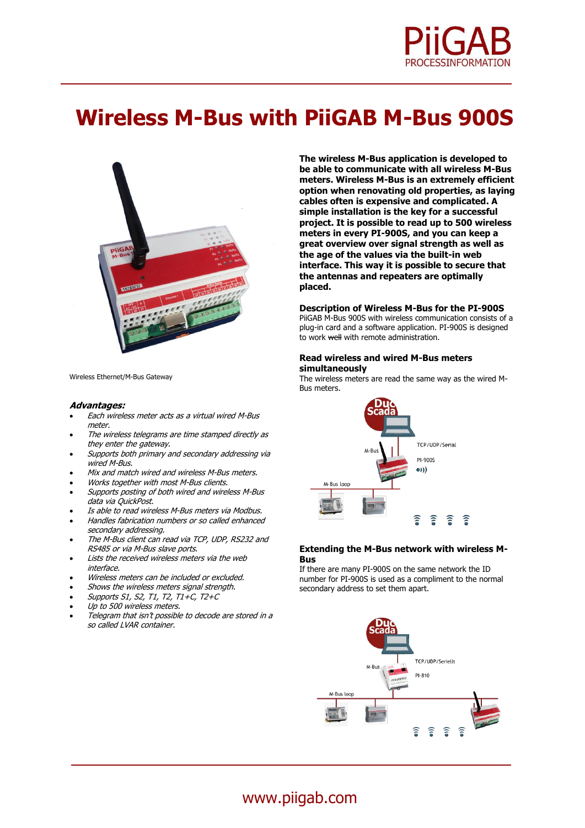

# **Wireless M-Bus with PiiGAB M-Bus 900S**



Wireless Ethernet/M-Bus Gateway

#### **Advantages:**

- Each wireless meter acts as a virtual wired M-Bus meter.
- The wireless telegrams are time stamped directly as they enter the gateway.
- Supports both primary and secondary addressing via wired M-Bus.
- Mix and match wired and wireless M-Bus meters.
- Works together with most M-Bus clients.
- Supports posting of both wired and wireless M-Bus data via QuickPost.
- Is able to read wireless M-Bus meters via Modbus.
- Handles fabrication numbers or so called enhanced secondary addressing.
- The M-Bus client can read via TCP, UDP, RS232 and RS485 or via M-Bus slave ports.
- Lists the received wireless meters via the web interface.
- Wireless meters can be included or excluded.
- Shows the wireless meters signal strength.
- Supports S1, S2, T1, T2, T1+C, T2+C
- Up to 500 wireless meters.
- Telegram that isn't possible to decode are stored in a so called LVAR container.

**The wireless M-Bus application is developed to be able to communicate with all wireless M-Bus meters. Wireless M-Bus is an extremely efficient option when renovating old properties, as laying cables often is expensive and complicated. A simple installation is the key for a successful project. It is possible to read up to 500 wireless meters in every PI-900S, and you can keep a great overview over signal strength as well as the age of the values via the built-in web interface. This way it is possible to secure that the antennas and repeaters are optimally placed.**

#### **Description of Wireless M-Bus for the PI-900S**

PiiGAB M-Bus 900S with wireless communication consists of a plug-in card and a software application. PI-900S is designed to work well with remote administration.

# **Read wireless and wired M-Bus meters simultaneously**

The wireless meters are read the same way as the wired M-Bus meters.



# **Extending the M-Bus network with wireless M-Bus**

If there are many PI-900S on the same network the ID number for PI-900S is used as a compliment to the normal secondary address to set them apart.



# www.piigab.com